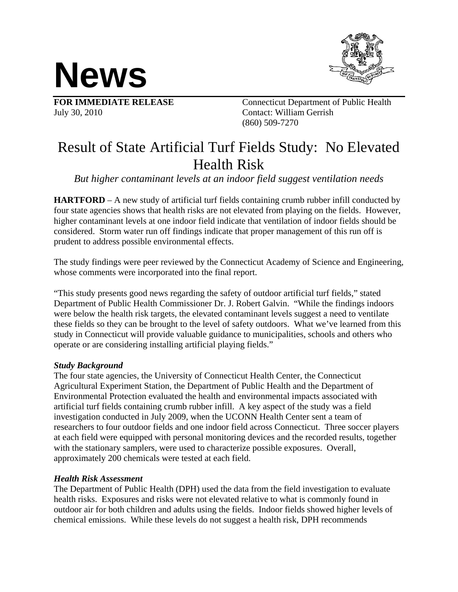



July 30, 2010 Contact: William Gerrish

**FOR IMMEDIATE RELEASE** Connecticut Department of Public Health (860) 509-7270

# Result of State Artificial Turf Fields Study: No Elevated Health Risk

*But higher contaminant levels at an indoor field suggest ventilation needs* 

**HARTFORD** – A new study of artificial turf fields containing crumb rubber infill conducted by four state agencies shows that health risks are not elevated from playing on the fields. However, higher contaminant levels at one indoor field indicate that ventilation of indoor fields should be considered. Storm water run off findings indicate that proper management of this run off is prudent to address possible environmental effects.

The study findings were peer reviewed by the Connecticut Academy of Science and Engineering, whose comments were incorporated into the final report.

"This study presents good news regarding the safety of outdoor artificial turf fields," stated Department of Public Health Commissioner Dr. J. Robert Galvin. "While the findings indoors were below the health risk targets, the elevated contaminant levels suggest a need to ventilate these fields so they can be brought to the level of safety outdoors. What we've learned from this study in Connecticut will provide valuable guidance to municipalities, schools and others who operate or are considering installing artificial playing fields."

## *Study Background*

The four state agencies, the University of Connecticut Health Center, the Connecticut Agricultural Experiment Station, the Department of Public Health and the Department of Environmental Protection evaluated the health and environmental impacts associated with artificial turf fields containing crumb rubber infill. A key aspect of the study was a field investigation conducted in July 2009, when the UCONN Health Center sent a team of researchers to four outdoor fields and one indoor field across Connecticut. Three soccer players at each field were equipped with personal monitoring devices and the recorded results, together with the stationary samplers, were used to characterize possible exposures. Overall, approximately 200 chemicals were tested at each field.

## *Health Risk Assessment*

The Department of Public Health (DPH) used the data from the field investigation to evaluate health risks. Exposures and risks were not elevated relative to what is commonly found in outdoor air for both children and adults using the fields. Indoor fields showed higher levels of chemical emissions. While these levels do not suggest a health risk, DPH recommends